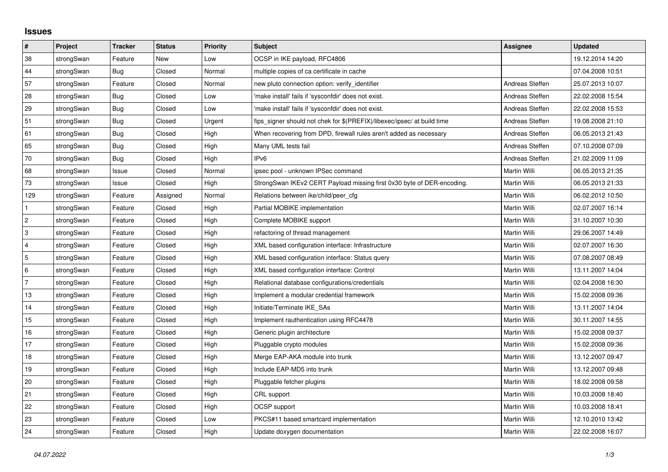## **Issues**

| $\vert$ #      | Project    | <b>Tracker</b> | <b>Status</b> | <b>Priority</b> | <b>Subject</b>                                                          | <b>Assignee</b> | <b>Updated</b>   |
|----------------|------------|----------------|---------------|-----------------|-------------------------------------------------------------------------|-----------------|------------------|
| 38             | strongSwan | Feature        | <b>New</b>    | Low             | OCSP in IKE payload, RFC4806                                            |                 | 19.12.2014 14:20 |
| 44             | strongSwan | Bug            | Closed        | Normal          | multiple copies of ca certificate in cache                              |                 | 07.04.2008 10:51 |
| 57             | strongSwan | Feature        | Closed        | Normal          | new pluto connection option: verify identifier                          | Andreas Steffen | 25.07.2013 10:07 |
| 28             | strongSwan | Bug            | Closed        | Low             | 'make install' fails if 'sysconfdir' does not exist.                    | Andreas Steffen | 22.02.2008 15:54 |
| 29             | strongSwan | Bug            | Closed        | Low             | 'make install' fails if 'sysconfdir' does not exist.                    | Andreas Steffen | 22.02.2008 15:53 |
| 51             | strongSwan | Bug            | Closed        | Urgent          | fips_signer should not chek for \$(PREFIX)/libexec/ipsec/ at build time | Andreas Steffen | 19.08.2008 21:10 |
| 61             | strongSwan | Bug            | Closed        | High            | When recovering from DPD, firewall rules aren't added as necessary      | Andreas Steffen | 06.05.2013 21:43 |
| 65             | strongSwan | Bug            | Closed        | High            | Many UML tests fail                                                     | Andreas Steffen | 07.10.2008 07:09 |
| 70             | strongSwan | Bug            | Closed        | High            | IP <sub>v6</sub>                                                        | Andreas Steffen | 21.02.2009 11:09 |
| 68             | strongSwan | Issue          | Closed        | Normal          | ipsec pool - unknown IPSec command                                      | Martin Willi    | 06.05.2013 21:35 |
| $73\,$         | strongSwan | Issue          | Closed        | High            | StrongSwan IKEv2 CERT Payload missing first 0x30 byte of DER-encoding.  | Martin Willi    | 06.05.2013 21:33 |
| 129            | strongSwan | Feature        | Assigned      | Normal          | Relations between ike/child/peer cfg                                    | Martin Willi    | 06.02.2012 10:50 |
| $\mathbf{1}$   | strongSwan | Feature        | Closed        | High            | Partial MOBIKE implementation                                           | Martin Willi    | 02.07.2007 16:14 |
| $\overline{2}$ | strongSwan | Feature        | Closed        | High            | Complete MOBIKE support                                                 | Martin Willi    | 31.10.2007 10:30 |
| 3              | strongSwan | Feature        | Closed        | High            | refactoring of thread management                                        | Martin Willi    | 29.06.2007 14:49 |
| $\overline{4}$ | strongSwan | Feature        | Closed        | High            | XML based configuration interface: Infrastructure                       | Martin Willi    | 02.07.2007 16:30 |
| 5              | strongSwan | Feature        | Closed        | High            | XML based configuration interface: Status query                         | Martin Willi    | 07.08.2007 08:49 |
| 6              | strongSwan | Feature        | Closed        | High            | XML based configuration interface: Control                              | Martin Willi    | 13.11.2007 14:04 |
| $\overline{7}$ | strongSwan | Feature        | Closed        | High            | Relational database configurations/credentials                          | Martin Willi    | 02.04.2008 16:30 |
| 13             | strongSwan | Feature        | Closed        | High            | Implement a modular credential framework                                | Martin Willi    | 15.02.2008 09:36 |
| 14             | strongSwan | Feature        | Closed        | High            | Initiate/Terminate IKE_SAs                                              | Martin Willi    | 13.11.2007 14:04 |
| 15             | strongSwan | Feature        | Closed        | High            | Implement rauthentication using RFC4478                                 | Martin Willi    | 30.11.2007 14:55 |
| 16             | strongSwan | Feature        | Closed        | High            | Generic plugin architecture                                             | Martin Willi    | 15.02.2008 09:37 |
| 17             | strongSwan | Feature        | Closed        | High            | Pluggable crypto modules                                                | Martin Willi    | 15.02.2008 09:36 |
| 18             | strongSwan | Feature        | Closed        | High            | Merge EAP-AKA module into trunk                                         | Martin Willi    | 13.12.2007 09:47 |
| 19             | strongSwan | Feature        | Closed        | High            | Include EAP-MD5 into trunk                                              | Martin Willi    | 13.12.2007 09:48 |
| 20             | strongSwan | Feature        | Closed        | High            | Pluggable fetcher plugins                                               | Martin Willi    | 18.02.2008 09:58 |
| 21             | strongSwan | Feature        | Closed        | High            | CRL support                                                             | Martin Willi    | 10.03.2008 18:40 |
| 22             | strongSwan | Feature        | Closed        | High            | OCSP support                                                            | Martin Willi    | 10.03.2008 18:41 |
| 23             | strongSwan | Feature        | Closed        | Low             | PKCS#11 based smartcard implementation                                  | Martin Willi    | 12.10.2010 13:42 |
| 24             | strongSwan | Feature        | Closed        | High            | Update doxygen documentation                                            | Martin Willi    | 22.02.2008 16:07 |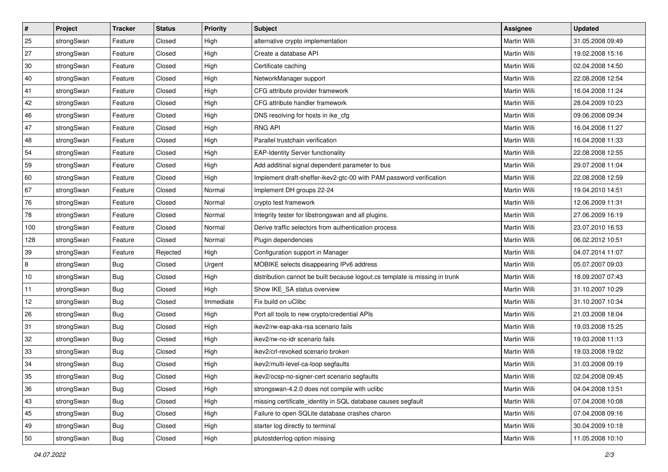| $\vert$ # | Project    | <b>Tracker</b> | <b>Status</b> | <b>Priority</b> | <b>Subject</b>                                                              | <b>Assignee</b>     | <b>Updated</b>   |
|-----------|------------|----------------|---------------|-----------------|-----------------------------------------------------------------------------|---------------------|------------------|
| 25        | strongSwan | Feature        | Closed        | High            | alternative crypto implementation                                           | Martin Willi        | 31.05.2008 09:49 |
| 27        | strongSwan | Feature        | Closed        | High            | Create a database API                                                       | <b>Martin Willi</b> | 19.02.2008 15:16 |
| 30        | strongSwan | Feature        | Closed        | High            | Certificate caching                                                         | Martin Willi        | 02.04.2008 14:50 |
| 40        | strongSwan | Feature        | Closed        | High            | NetworkManager support                                                      | Martin Willi        | 22.08.2008 12:54 |
| 41        | strongSwan | Feature        | Closed        | High            | CFG attribute provider framework                                            | Martin Willi        | 16.04.2008 11:24 |
| 42        | strongSwan | Feature        | Closed        | High            | CFG attribute handler framework                                             | <b>Martin Willi</b> | 28.04.2009 10:23 |
| 46        | strongSwan | Feature        | Closed        | High            | DNS resolving for hosts in ike_cfg                                          | Martin Willi        | 09.06.2008 09:34 |
| 47        | strongSwan | Feature        | Closed        | High            | <b>RNG API</b>                                                              | Martin Willi        | 16.04.2008 11:27 |
| 48        | strongSwan | Feature        | Closed        | High            | Parallel trustchain verification                                            | Martin Willi        | 16.04.2008 11:33 |
| 54        | strongSwan | Feature        | Closed        | High            | <b>EAP-Identity Server functionality</b>                                    | Martin Willi        | 22.08.2008 12:55 |
| 59        | strongSwan | Feature        | Closed        | High            | Add additinal signal dependent parameter to bus                             | Martin Willi        | 29.07.2008 11:04 |
| 60        | strongSwan | Feature        | Closed        | High            | Implement draft-sheffer-ikev2-gtc-00 with PAM password verification         | Martin Willi        | 22.08.2008 12:59 |
| 67        | strongSwan | Feature        | Closed        | Normal          | Implement DH groups 22-24                                                   | Martin Willi        | 19.04.2010 14:51 |
| 76        | strongSwan | Feature        | Closed        | Normal          | crypto test framework                                                       | Martin Willi        | 12.06.2009 11:31 |
| 78        | strongSwan | Feature        | Closed        | Normal          | Integrity tester for libstrongswan and all plugins.                         | <b>Martin Willi</b> | 27.06.2009 16:19 |
| 100       | strongSwan | Feature        | Closed        | Normal          | Derive traffic selectors from authentication process                        | Martin Willi        | 23.07.2010 16:53 |
| 128       | strongSwan | Feature        | Closed        | Normal          | Plugin dependencies                                                         | <b>Martin Willi</b> | 06.02.2012 10:51 |
| 39        | strongSwan | Feature        | Rejected      | High            | Configuration support in Manager                                            | Martin Willi        | 04.07.2014 11:07 |
| 8         | strongSwan | <b>Bug</b>     | Closed        | Urgent          | MOBIKE selects disappearing IPv6 address                                    | Martin Willi        | 05.07.2007 09:03 |
| 10        | strongSwan | Bug            | Closed        | High            | distribution cannot be built because logout.cs template is missing in trunk | Martin Willi        | 18.09.2007 07:43 |
| 11        | strongSwan | <b>Bug</b>     | Closed        | High            | Show IKE_SA status overview                                                 | Martin Willi        | 31.10.2007 10:29 |
| 12        | strongSwan | <b>Bug</b>     | Closed        | Immediate       | Fix build on uClibc                                                         | Martin Willi        | 31.10.2007 10:34 |
| 26        | strongSwan | Bug            | Closed        | High            | Port all tools to new crypto/credential APIs                                | Martin Willi        | 21.03.2008 18:04 |
| 31        | strongSwan | <b>Bug</b>     | Closed        | High            | ikev2/rw-eap-aka-rsa scenario fails                                         | Martin Willi        | 19.03.2008 15:25 |
| 32        | strongSwan | <b>Bug</b>     | Closed        | High            | ikev2/rw-no-idr scenario fails                                              | Martin Willi        | 19.03.2008 11:13 |
| 33        | strongSwan | <b>Bug</b>     | Closed        | High            | ikev2/crl-revoked scenario broken                                           | Martin Willi        | 19.03.2008 19:02 |
| 34        | strongSwan | Bug            | Closed        | High            | ikev2/multi-level-ca-loop segfaults                                         | Martin Willi        | 31.03.2008 09:19 |
| 35        | strongSwan | Bug            | Closed        | High            | ikev2/ocsp-no-signer-cert scenario segfaults                                | Martin Willi        | 02.04.2008 09:45 |
| 36        | strongSwan | Bug            | Closed        | High            | strongswan-4.2.0 does not compile with uclibe                               | Martin Willi        | 04.04.2008 13:51 |
| 43        | strongSwan | Bug            | Closed        | High            | missing certificate identity in SQL database causes segfault                | Martin Willi        | 07.04.2008 10:08 |
| 45        | strongSwan | Bug            | Closed        | High            | Failure to open SQLite database crashes charon                              | Martin Willi        | 07.04.2008 09:16 |
| 49        | strongSwan | Bug            | Closed        | High            | starter log directly to terminal                                            | Martin Willi        | 30.04.2009 10:18 |
| 50        | strongSwan | <b>Bug</b>     | Closed        | High            | plutostderrlog option missing                                               | Martin Willi        | 11.05.2008 10:10 |